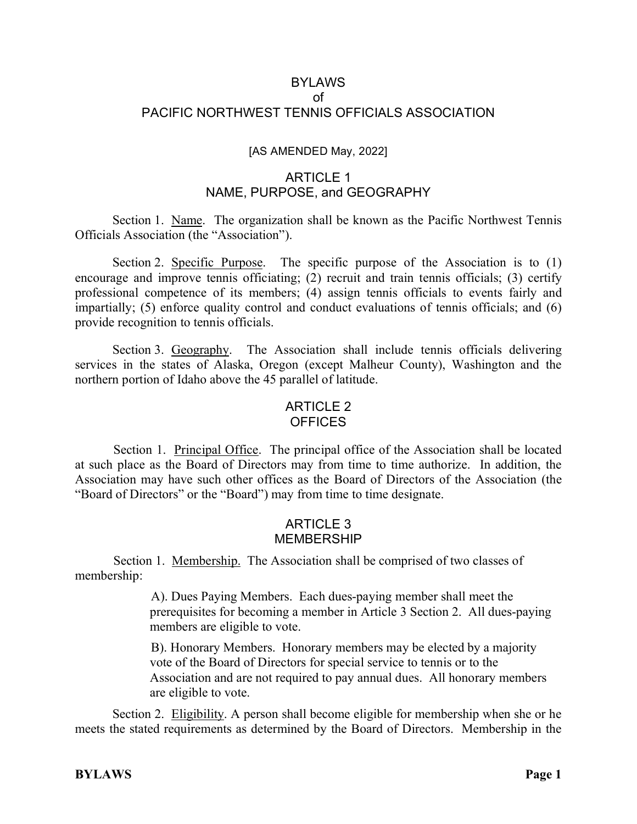#### BYLAWS of PACIFIC NORTHWEST TENNIS OFFICIALS ASSOCIATION

#### [AS AMENDED May, 2022]

#### ARTICLE 1 NAME, PURPOSE, and GEOGRAPHY

Section 1. Name. The organization shall be known as the Pacific Northwest Tennis Officials Association (the "Association").

Section 2. Specific Purpose. The specific purpose of the Association is to (1) encourage and improve tennis officiating;  $(2)$  recruit and train tennis officials;  $(3)$  certify professional competence of its members; (4) assign tennis officials to events fairly and impartially; (5) enforce quality control and conduct evaluations of tennis officials; and (6) provide recognition to tennis officials.

Section 3. Geography. The Association shall include tennis officials delivering services in the states of Alaska, Oregon (except Malheur County), Washington and the northern portion of Idaho above the 45 parallel of latitude.

#### ARTICLE 2 OFFICES

Section 1. Principal Office. The principal office of the Association shall be located at such place as the Board of Directors may from time to time authorize. In addition, the Association may have such other offices as the Board of Directors of the Association (the "Board of Directors" or the "Board") may from time to time designate.

### ARTICLE 3 MEMBERSHIP

Section 1. Membership. The Association shall be comprised of two classes of membership:

> A). Dues Paying Members. Each dues-paying member shall meet the prerequisites for becoming a member in Article 3 Section 2. All dues-paying members are eligible to vote.

B). Honorary Members. Honorary members may be elected by a majority vote of the Board of Directors for special service to tennis or to the Association and are not required to pay annual dues. All honorary members are eligible to vote.

Section 2. Eligibility. A person shall become eligible for membership when she or he meets the stated requirements as determined by the Board of Directors. Membership in the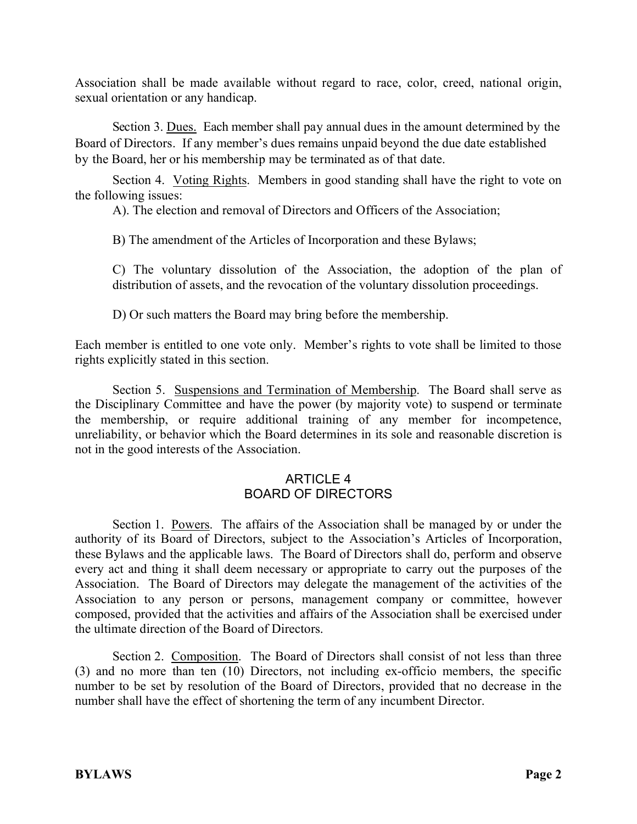Association shall be made available without regard to race, color, creed, national origin, sexual orientation or any handicap.

Section 3. Dues. Each member shall pay annual dues in the amount determined by the Board of Directors. If any member's dues remains unpaid beyond the due date established by the Board, her or his membership may be terminated as of that date.

Section 4. Voting Rights. Members in good standing shall have the right to vote on the following issues:

A). The election and removal of Directors and Officers of the Association;

B) The amendment of the Articles of Incorporation and these Bylaws;

C) The voluntary dissolution of the Association, the adoption of the plan of distribution of assets, and the revocation of the voluntary dissolution proceedings.

D) Or such matters the Board may bring before the membership.

Each member is entitled to one vote only. Member's rights to vote shall be limited to those rights explicitly stated in this section.

Section 5. Suspensions and Termination of Membership. The Board shall serve as the Disciplinary Committee and have the power (by majority vote) to suspend or terminate the membership, or require additional training of any member for incompetence, unreliability, or behavior which the Board determines in its sole and reasonable discretion is not in the good interests of the Association.

# ARTICLE 4 BOARD OF DIRECTORS

Section 1. Powers. The affairs of the Association shall be managed by or under the authority of its Board of Directors, subject to the Association's Articles of Incorporation, these Bylaws and the applicable laws. The Board of Directors shall do, perform and observe every act and thing it shall deem necessary or appropriate to carry out the purposes of the Association. The Board of Directors may delegate the management of the activities of the Association to any person or persons, management company or committee, however composed, provided that the activities and affairs of the Association shall be exercised under the ultimate direction of the Board of Directors.

Section 2. Composition. The Board of Directors shall consist of not less than three (3) and no more than ten (10) Directors, not including ex-officio members, the specific number to be set by resolution of the Board of Directors, provided that no decrease in the number shall have the effect of shortening the term of any incumbent Director.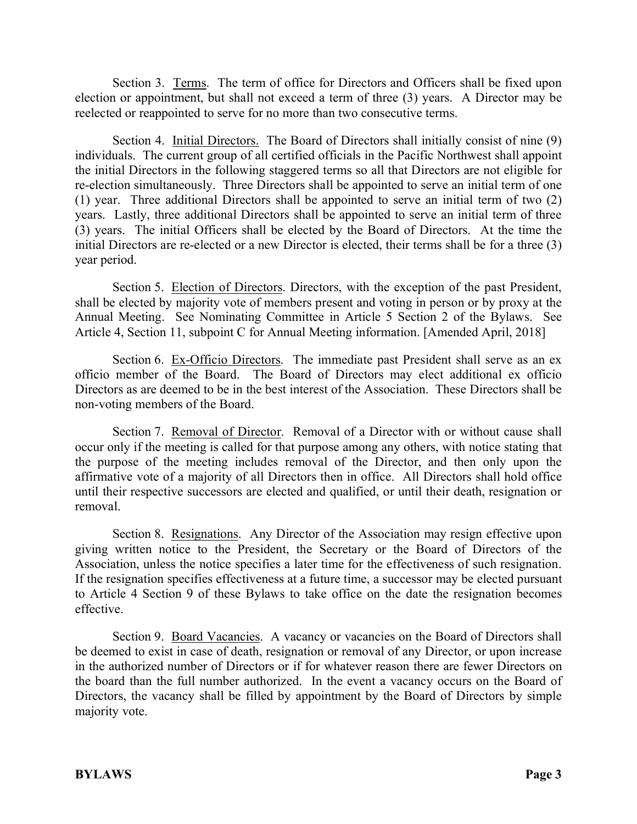Section 3. Terms. The term of office for Directors and Officers shall be fixed upon election or appointment, but shall not exceed a term of three (3) years. A Director may be reelected or reappointed to serve for no more than two consecutive terms.

Section 4. Initial Directors. The Board of Directors shall initially consist of nine (9) individuals. The current group of all certified officials in the Pacific Northwest shall appoint the initial Directors in the following staggered terms so all that Directors are not eligible for re-election simultaneously. Three Directors shall be appointed to serve an initial term of one (1) year. Three additional Directors shall be appointed to serve an initial term of two (2) years. Lastly, three additional Directors shall be appointed to serve an initial term of three (3) years. The initial Officers shall be elected by the Board of Directors. At the time the initial Directors are re-elected or a new Director is elected, their terms shall be for a three (3) year period.

Section 5. Election of Directors. Directors, with the exception of the past President, shall be elected by majority vote of members present and voting in person or by proxy at the Annual Meeting. See Nominating Committee in Article 5 Section 2 of the Bylaws. See Article 4, Section 11, subpoint C for Annual Meeting information. [Amended April, 2018]

Section 6. Ex-Officio Directors. The immediate past President shall serve as an ex officio member of the Board. The Board of Directors may elect additional ex officio Directors as are deemed to be in the best interest of the Association. These Directors shall be non-voting members of the Board.

Section 7. Removal of Director. Removal of a Director with or without cause shall occur only if the meeting is called for that purpose among any others, with notice stating that the purpose of the meeting includes removal of the Director, and then only upon the affirmative vote of a majority of all Directors then in office. All Directors shall hold office until their respective successors are elected and qualified, or until their death, resignation or removal.

Section 8. Resignations. Any Director of the Association may resign effective upon giving written notice to the President, the Secretary or the Board of Directors of the Association, unless the notice specifies a later time for the effectiveness of such resignation. If the resignation specifies effectiveness at a future time, a successor may be elected pursuant to Article 4 Section 9 of these Bylaws to take office on the date the resignation becomes effective.

Section 9. Board Vacancies. A vacancy or vacancies on the Board of Directors shall be deemed to exist in case of death, resignation or removal of any Director, or upon increase in the authorized number of Directors or if for whatever reason there are fewer Directors on the board than the full number authorized. In the event a vacancy occurs on the Board of Directors, the vacancy shall be filled by appointment by the Board of Directors by simple majority vote.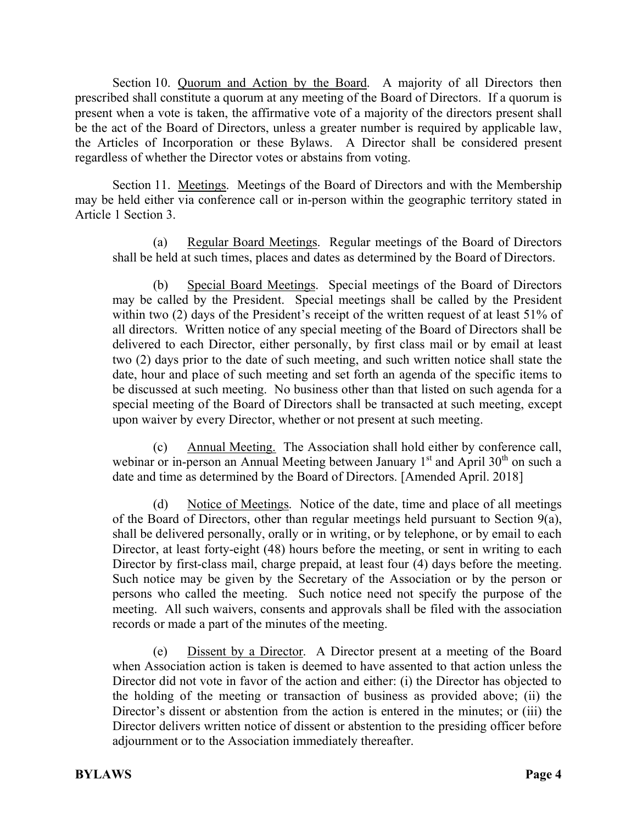Section 10. Quorum and Action by the Board. A majority of all Directors then prescribed shall constitute a quorum at any meeting of the Board of Directors. If a quorum is present when a vote is taken, the affirmative vote of a majority of the directors present shall be the act of the Board of Directors, unless a greater number is required by applicable law, the Articles of Incorporation or these Bylaws. A Director shall be considered present regardless of whether the Director votes or abstains from voting.

Section 11. Meetings. Meetings of the Board of Directors and with the Membership may be held either via conference call or in-person within the geographic territory stated in Article 1 Section 3.

(a) Regular Board Meetings. Regular meetings of the Board of Directors shall be held at such times, places and dates as determined by the Board of Directors.

(b) Special Board Meetings. Special meetings of the Board of Directors may be called by the President. Special meetings shall be called by the President within two (2) days of the President's receipt of the written request of at least 51% of all directors. Written notice of any special meeting of the Board of Directors shall be delivered to each Director, either personally, by first class mail or by email at least two (2) days prior to the date of such meeting, and such written notice shall state the date, hour and place of such meeting and set forth an agenda of the specific items to be discussed at such meeting. No business other than that listed on such agenda for a special meeting of the Board of Directors shall be transacted at such meeting, except upon waiver by every Director, whether or not present at such meeting.

(c) Annual Meeting. The Association shall hold either by conference call, webinar or in-person an Annual Meeting between January  $1<sup>st</sup>$  and April 30<sup>th</sup> on such a date and time as determined by the Board of Directors. [Amended April. 2018]

(d) Notice of Meetings. Notice of the date, time and place of all meetings of the Board of Directors, other than regular meetings held pursuant to Section 9(a), shall be delivered personally, orally or in writing, or by telephone, or by email to each Director, at least forty-eight (48) hours before the meeting, or sent in writing to each Director by first-class mail, charge prepaid, at least four (4) days before the meeting. Such notice may be given by the Secretary of the Association or by the person or persons who called the meeting. Such notice need not specify the purpose of the meeting. All such waivers, consents and approvals shall be filed with the association records or made a part of the minutes of the meeting.

(e) Dissent by a Director. A Director present at a meeting of the Board when Association action is taken is deemed to have assented to that action unless the Director did not vote in favor of the action and either: (i) the Director has objected to the holding of the meeting or transaction of business as provided above; (ii) the Director's dissent or abstention from the action is entered in the minutes; or (iii) the Director delivers written notice of dissent or abstention to the presiding officer before adjournment or to the Association immediately thereafter.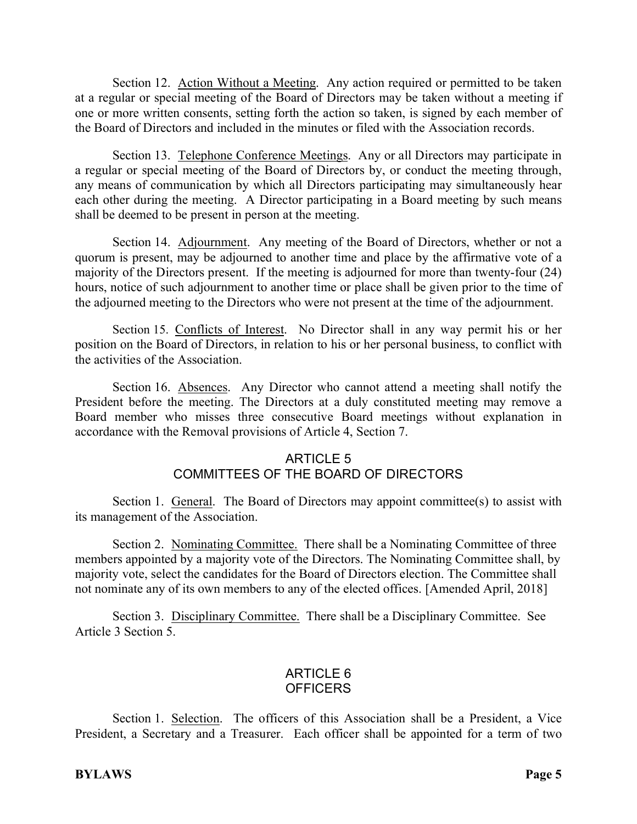Section 12. Action Without a Meeting. Any action required or permitted to be taken at a regular or special meeting of the Board of Directors may be taken without a meeting if one or more written consents, setting forth the action so taken, is signed by each member of the Board of Directors and included in the minutes or filed with the Association records.

Section 13. Telephone Conference Meetings. Any or all Directors may participate in a regular or special meeting of the Board of Directors by, or conduct the meeting through, any means of communication by which all Directors participating may simultaneously hear each other during the meeting. A Director participating in a Board meeting by such means shall be deemed to be present in person at the meeting.

Section 14. Adjournment. Any meeting of the Board of Directors, whether or not a quorum is present, may be adjourned to another time and place by the affirmative vote of a majority of the Directors present. If the meeting is adjourned for more than twenty-four (24) hours, notice of such adjournment to another time or place shall be given prior to the time of the adjourned meeting to the Directors who were not present at the time of the adjournment.

Section 15. Conflicts of Interest. No Director shall in any way permit his or her position on the Board of Directors, in relation to his or her personal business, to conflict with the activities of the Association.

Section 16. Absences. Any Director who cannot attend a meeting shall notify the President before the meeting. The Directors at a duly constituted meeting may remove a Board member who misses three consecutive Board meetings without explanation in accordance with the Removal provisions of Article 4, Section 7.

# ARTICLE 5

# COMMITTEES OF THE BOARD OF DIRECTORS

Section 1. General. The Board of Directors may appoint committee(s) to assist with its management of the Association.

Section 2. Nominating Committee. There shall be a Nominating Committee of three members appointed by a majority vote of the Directors. The Nominating Committee shall, by majority vote, select the candidates for the Board of Directors election. The Committee shall not nominate any of its own members to any of the elected offices. [Amended April, 2018]

Section 3. Disciplinary Committee. There shall be a Disciplinary Committee. See Article 3 Section 5.

### ARTICLE 6 **OFFICERS**

Section 1. Selection. The officers of this Association shall be a President, a Vice President, a Secretary and a Treasurer. Each officer shall be appointed for a term of two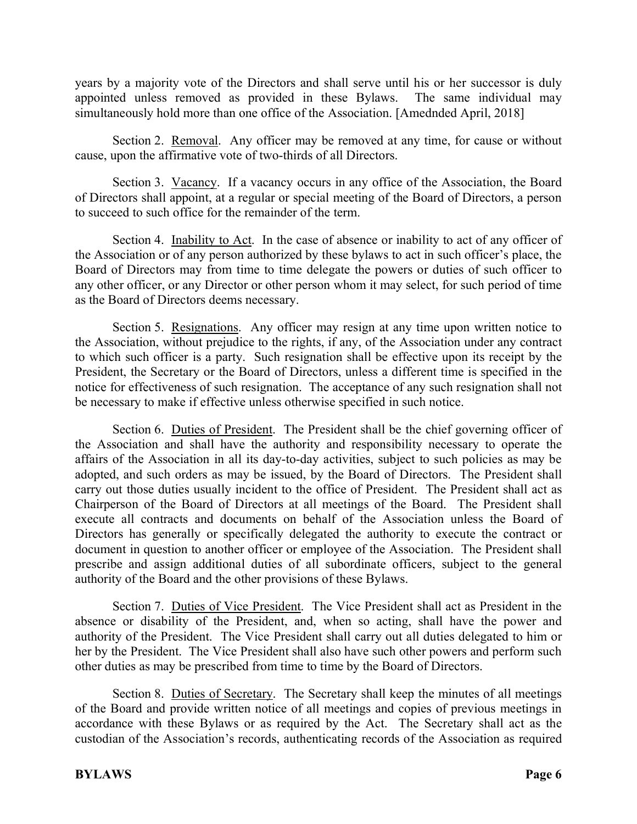years by a majority vote of the Directors and shall serve until his or her successor is duly appointed unless removed as provided in these Bylaws. The same individual may simultaneously hold more than one office of the Association. [Amednded April, 2018]

Section 2. Removal. Any officer may be removed at any time, for cause or without cause, upon the affirmative vote of two-thirds of all Directors.

Section 3. Vacancy. If a vacancy occurs in any office of the Association, the Board of Directors shall appoint, at a regular or special meeting of the Board of Directors, a person to succeed to such office for the remainder of the term.

Section 4. Inability to Act. In the case of absence or inability to act of any officer of the Association or of any person authorized by these bylaws to act in such officer's place, the Board of Directors may from time to time delegate the powers or duties of such officer to any other officer, or any Director or other person whom it may select, for such period of time as the Board of Directors deems necessary.

Section 5. Resignations. Any officer may resign at any time upon written notice to the Association, without prejudice to the rights, if any, of the Association under any contract to which such officer is a party. Such resignation shall be effective upon its receipt by the President, the Secretary or the Board of Directors, unless a different time is specified in the notice for effectiveness of such resignation. The acceptance of any such resignation shall not be necessary to make if effective unless otherwise specified in such notice.

Section 6. Duties of President. The President shall be the chief governing officer of the Association and shall have the authority and responsibility necessary to operate the affairs of the Association in all its day-to-day activities, subject to such policies as may be adopted, and such orders as may be issued, by the Board of Directors. The President shall carry out those duties usually incident to the office of President. The President shall act as Chairperson of the Board of Directors at all meetings of the Board. The President shall execute all contracts and documents on behalf of the Association unless the Board of Directors has generally or specifically delegated the authority to execute the contract or document in question to another officer or employee of the Association. The President shall prescribe and assign additional duties of all subordinate officers, subject to the general authority of the Board and the other provisions of these Bylaws.

Section 7. Duties of Vice President. The Vice President shall act as President in the absence or disability of the President, and, when so acting, shall have the power and authority of the President. The Vice President shall carry out all duties delegated to him or her by the President. The Vice President shall also have such other powers and perform such other duties as may be prescribed from time to time by the Board of Directors.

Section 8. Duties of Secretary. The Secretary shall keep the minutes of all meetings of the Board and provide written notice of all meetings and copies of previous meetings in accordance with these Bylaws or as required by the Act. The Secretary shall act as the custodian of the Association's records, authenticating records of the Association as required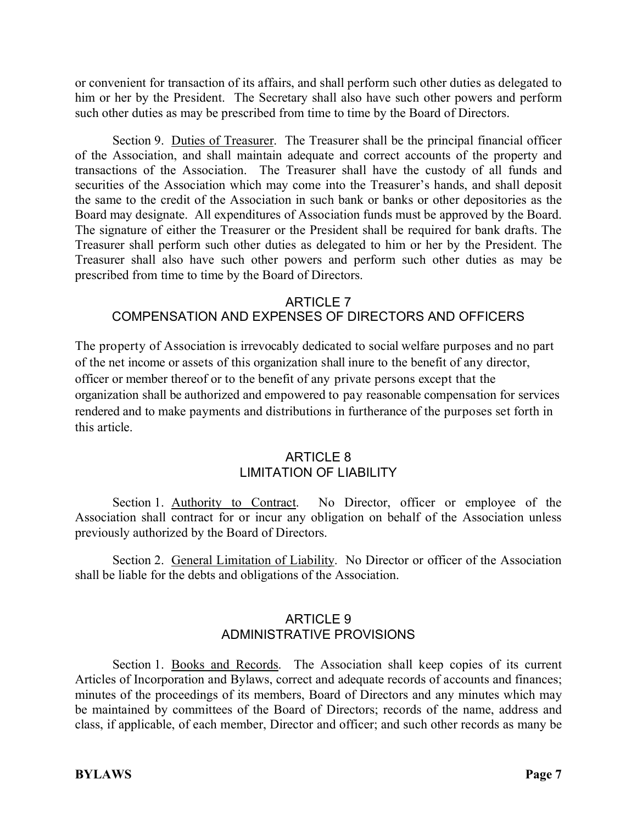or convenient for transaction of its affairs, and shall perform such other duties as delegated to him or her by the President. The Secretary shall also have such other powers and perform such other duties as may be prescribed from time to time by the Board of Directors.

Section 9. Duties of Treasurer. The Treasurer shall be the principal financial officer of the Association, and shall maintain adequate and correct accounts of the property and transactions of the Association. The Treasurer shall have the custody of all funds and securities of the Association which may come into the Treasurer's hands, and shall deposit the same to the credit of the Association in such bank or banks or other depositories as the Board may designate. All expenditures of Association funds must be approved by the Board. The signature of either the Treasurer or the President shall be required for bank drafts. The Treasurer shall perform such other duties as delegated to him or her by the President. The Treasurer shall also have such other powers and perform such other duties as may be prescribed from time to time by the Board of Directors.

# ARTICLE 7 COMPENSATION AND EXPENSES OF DIRECTORS AND OFFICERS

The property of Association is irrevocably dedicated to social welfare purposes and no part of the net income or assets of this organization shall inure to the benefit of any director, officer or member thereof or to the benefit of any private persons except that the organization shall be authorized and empowered to pay reasonable compensation for services rendered and to make payments and distributions in furtherance of the purposes set forth in this article.

# ARTICLE 8 LIMITATION OF LIABILITY

Section 1. Authority to Contract. No Director, officer or employee of the Association shall contract for or incur any obligation on behalf of the Association unless previously authorized by the Board of Directors.

Section 2. General Limitation of Liability. No Director or officer of the Association shall be liable for the debts and obligations of the Association.

# ARTICLE 9 ADMINISTRATIVE PROVISIONS

Section 1. Books and Records. The Association shall keep copies of its current Articles of Incorporation and Bylaws, correct and adequate records of accounts and finances; minutes of the proceedings of its members, Board of Directors and any minutes which may be maintained by committees of the Board of Directors; records of the name, address and class, if applicable, of each member, Director and officer; and such other records as many be